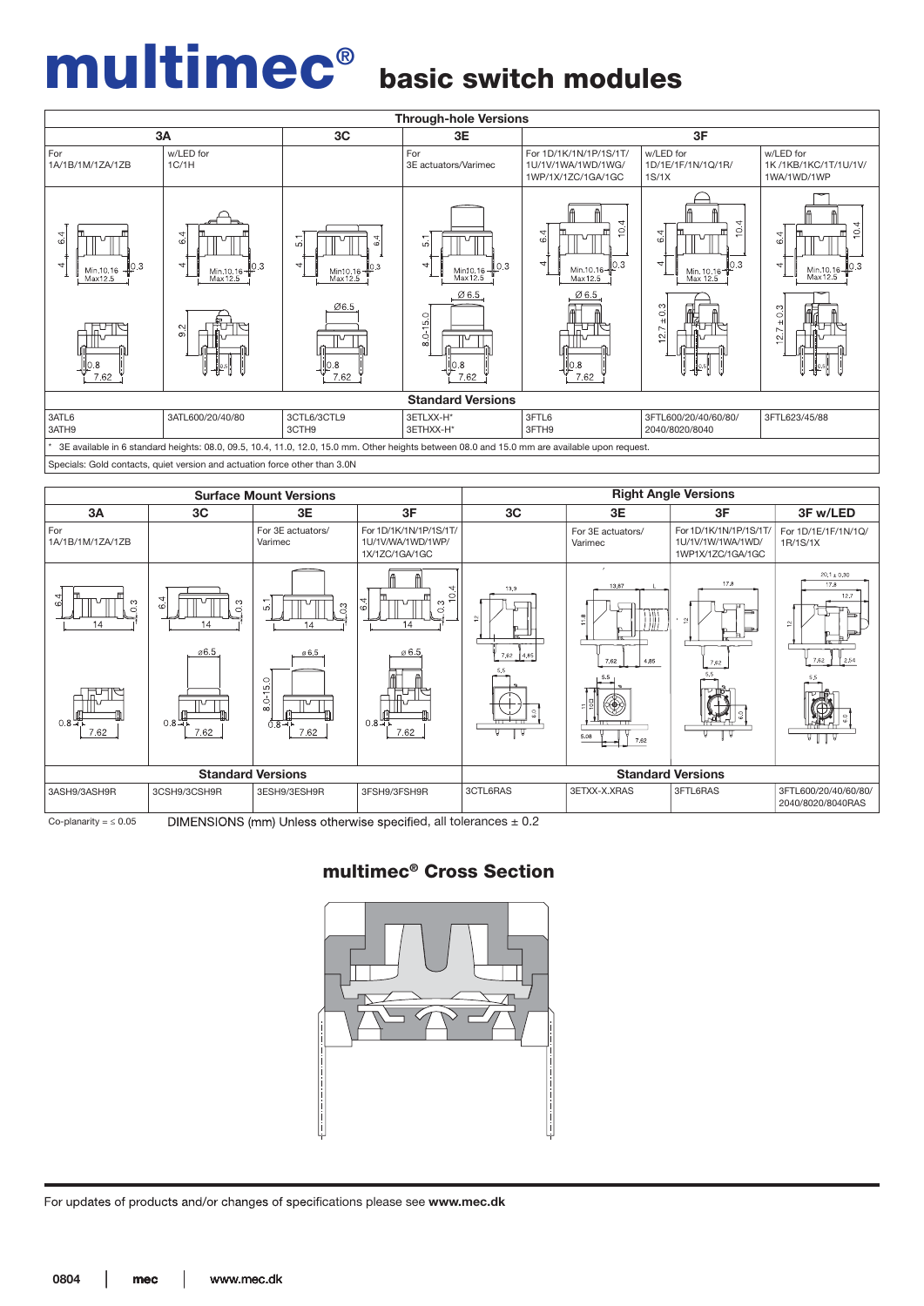## multimec®

### basic switch modules





Co-planarity =  $\leq 0.05$  DIMENSIONS (mm) Unless otherwise specified, all tolerances  $\pm 0.2$ 

multimec® Cross Section

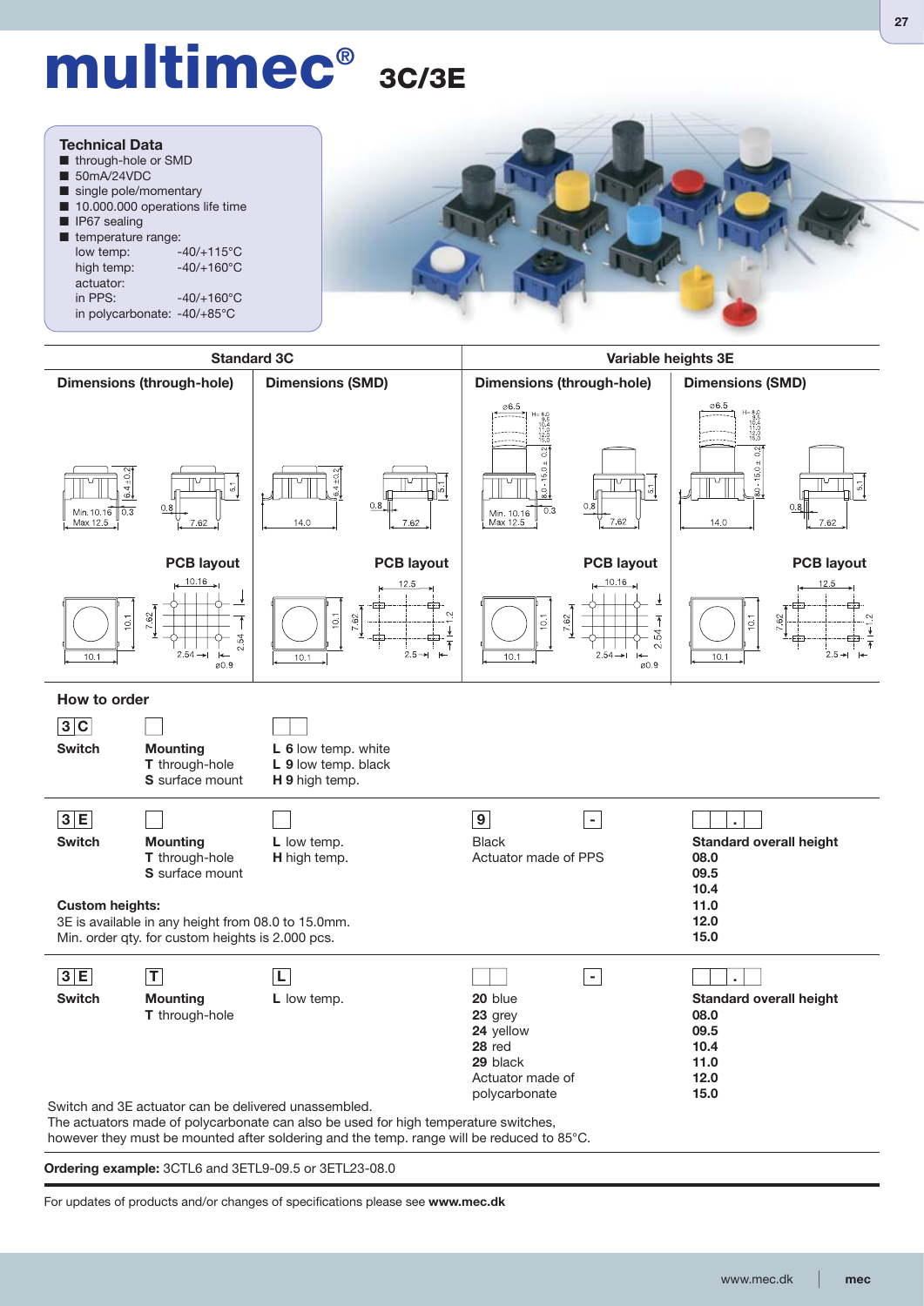# **multimec® 3C/3E**



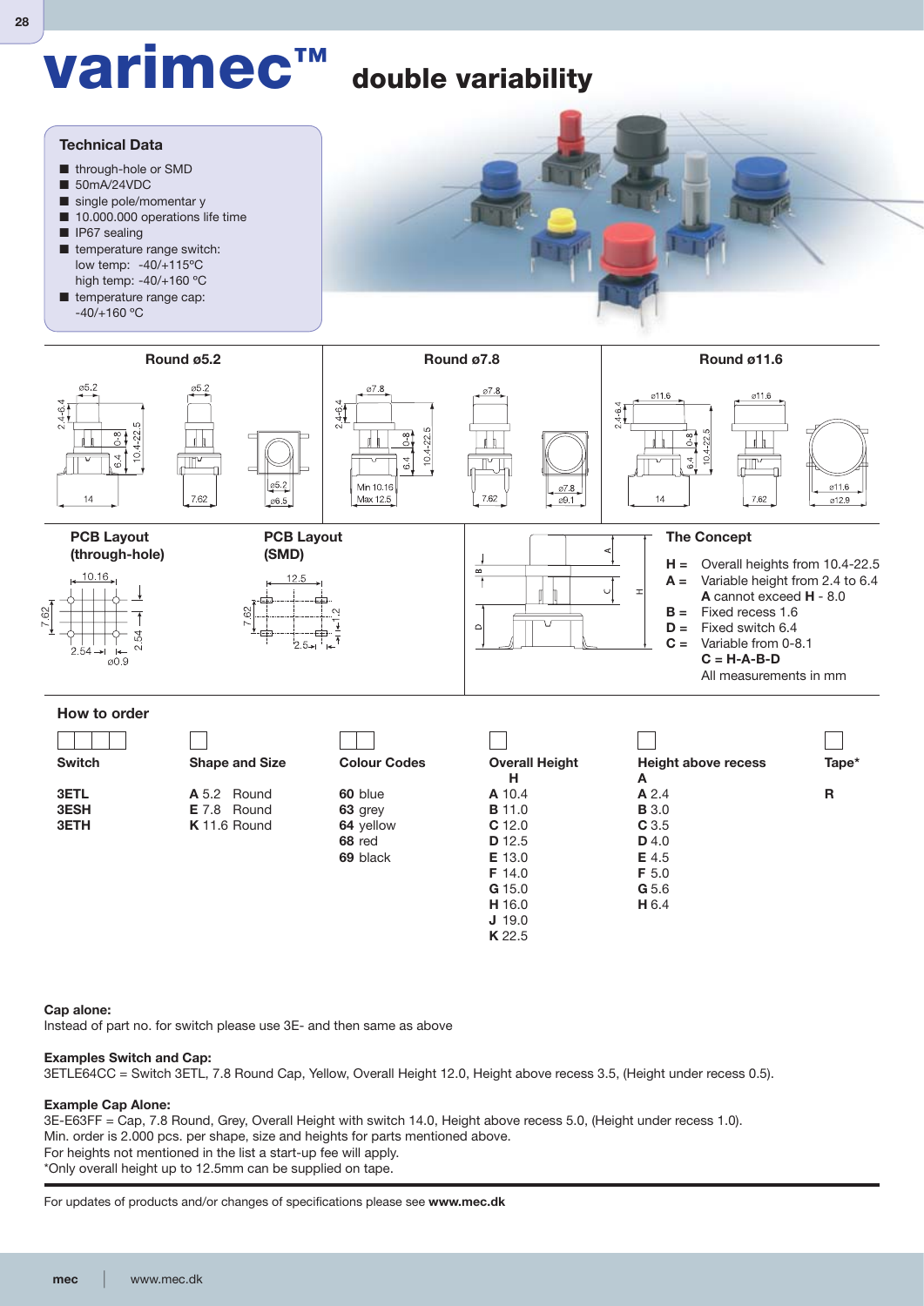

### **Cap alone:**

Instead of part no. for switch please use 3E- and then same as above

### **Examples Switch and Cap:**

3ETLE64CC = Switch 3ETL, 7.8 Round Cap, Yellow, Overall Height 12.0, Height above recess 3.5, (Height under recess 0.5).

### **Example Cap Alone:**

3E-E63FF = Cap, 7.8 Round, Grey, Overall Height with switch 14.0, Height above recess 5.0, (Height under recess 1.0). Min. order is 2.000 pcs. per shape, size and heights for parts mentioned above. For heights not mentioned in the list a start-up fee will apply. \*Only overall height up to 12.5mm can be supplied on tape.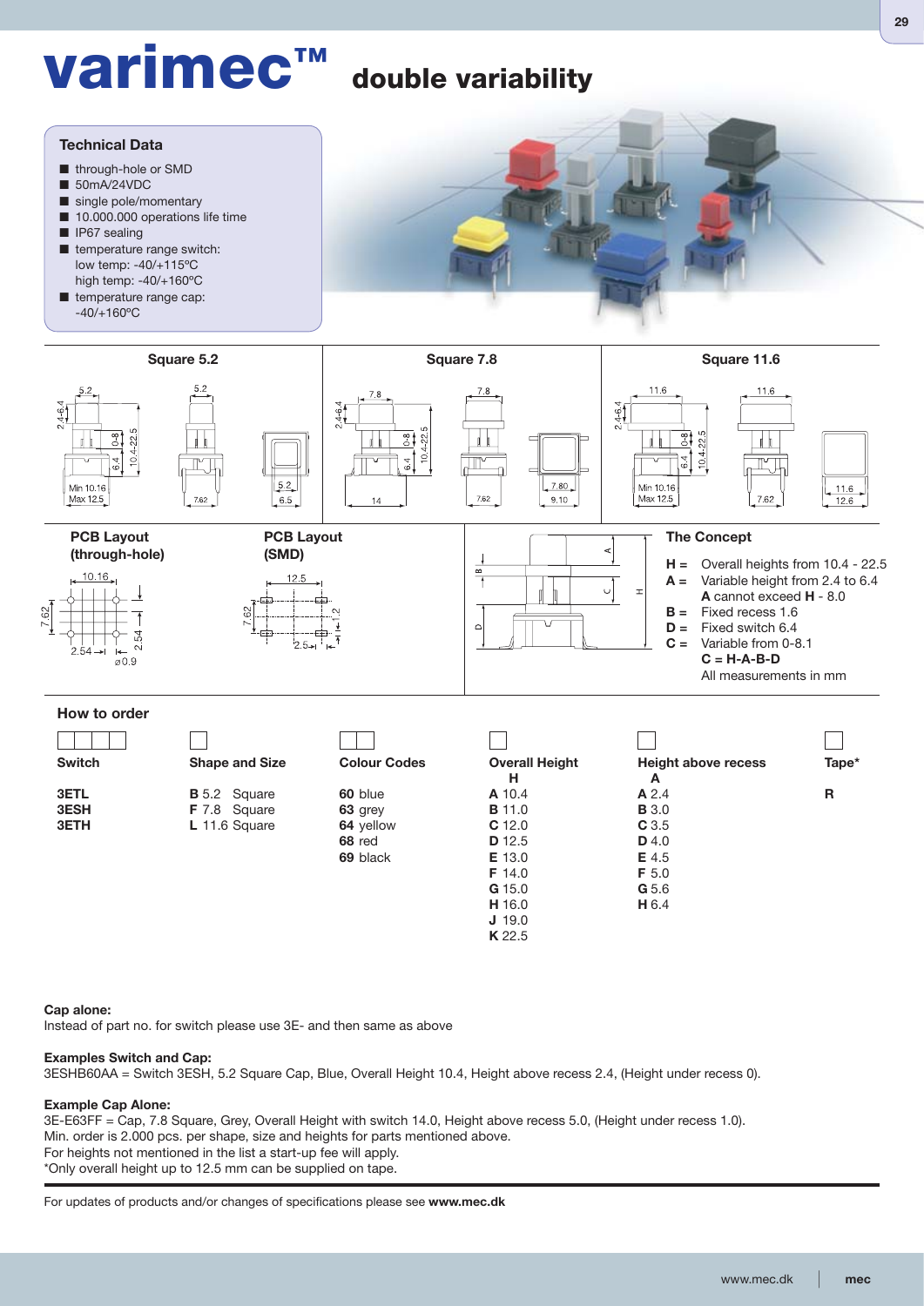## **varimec™ double variability**



### **Cap alone:**

Instead of part no. for switch please use 3E- and then same as above

### **Examples Switch and Cap:**

3ESHB60AA = Switch 3ESH, 5.2 Square Cap, Blue, Overall Height 10.4, Height above recess 2.4, (Height under recess 0).

### **Example Cap Alone:**

3E-E63FF = Cap, 7.8 Square, Grey, Overall Height with switch 14.0, Height above recess 5.0, (Height under recess 1.0). Min. order is 2.000 pcs. per shape, size and heights for parts mentioned above. For heights not mentioned in the list a start-up fee will apply. \*Only overall height up to 12.5 mm can be supplied on tape.